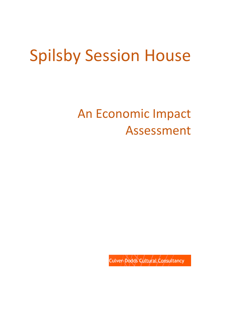# Spilsby Session House

# An Economic Impact Assessment

Culver-Dodds Cultural Consultancy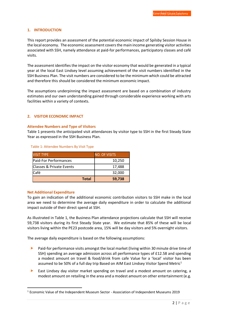# **1. INTRODUCTION**

This report provides an assessment of the potential economic impact of Spilsby Session House in the local economy. The economic assessment covers the main income generating visitor activities associated with SSH, namely attendance at paid-for performances, participatory classes and café visits.

The assessment identifies the impact on the visitor economy that would be generated in a typical year at the local East Lindsey level assuming achievement of the visit numbers identified in the SSH Business Plan. The visit numbers are considered to be the minimum which could be attracted and therefore this should be considered the minimum economic impact.

The assumptions underpinning the impact assessment are based on a combination of industry estimates and our own understanding gained through considerable experience working with arts facilities within a variety of contexts.

# **2. VISITOR ECONOMIC IMPACT**

#### **Attendee Numbers and Type of Visitors**

Table 1 presents the anticipated visit attendances by visitor type to SSH in the first Steady State Year as expressed in the SSH Business Plan.

| <b>VISIT TYPE</b>                    | <b>NO. OF VISITS</b> |  |
|--------------------------------------|----------------------|--|
| <b>Paid-For Performances</b>         | 10,250               |  |
| <b>IClasses &amp; Private Events</b> | 17,488               |  |
| Café                                 | 32,000               |  |
| <b>Total</b>                         | 59,738               |  |

#### Table 1: Attendee Numbers By Visit Type

# **Net Additional Expenditure**

To gain an indication of the additional economic contribution visitors to SSH make in the local area we need to determine the average daily expenditure in order to calculate the additional impact outside of their direct spend at SSH.

As illustrated in Table 1, the Business Plan attendance projections calculate that SSH will receive 59,738 visitors during its first Steady State year. We estimate that 85% of these will be local visitors living within the PE23 postcode area, 15% will be day visitors and 5% overnight visitors.

The average daily expenditure is based on the following assumptions:

- **Paid-for performance visits amongst the local market (living within 30 minute drive time of** SSH) spending an average admission across all performance types of £12.58 and spending a modest amount on travel & food/drink from cafe Value for a 'local' visitor has been assumed to be 50% of a full day trip Based on AIM East Lindsey Visitor Spend Metric<sup>1</sup>
- East Lindsey day visitor market spending on travel and a modest amount on catering, a modest amount on retailing in the area and a modest amount on other entertainment (e.g.

<sup>1</sup> Economic Value of the Independent Museum Sector - Association of Independent Museums 2019